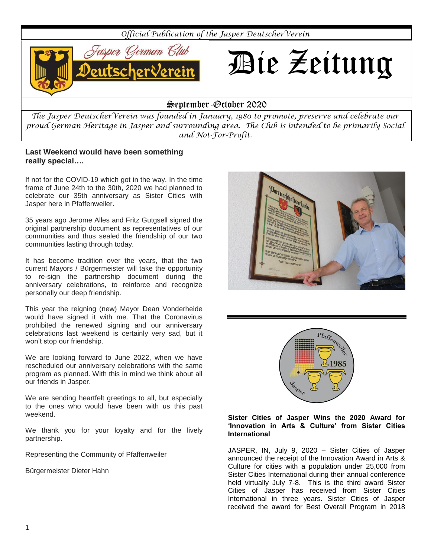

*The Jasper DeutscherVerein was founded in January, 1980 to promote, preserve and celebrate our proud German Heritage in Jasper and surrounding area. The Club is intended to be primarily Social and Not-For-Profit.*

## **Last Weekend would have been something really special….**

If not for the COVID-19 which got in the way. In the time frame of June 24th to the 30th, 2020 we had planned to celebrate our 35th anniversary as Sister Cities with Jasper here in Pfaffenweiler.

35 years ago Jerome Alles and Fritz Gutgsell signed the original partnership document as representatives of our communities and thus sealed the friendship of our two communities lasting through today.

It has become tradition over the years, that the two current Mayors / Bürgermeister will take the opportunity to re-sign the partnership document during the anniversary celebrations, to reinforce and recognize personally our deep friendship.

This year the reigning (new) Mayor Dean Vonderheide would have signed it with me. That the Coronavirus prohibited the renewed signing and our anniversary celebrations last weekend is certainly very sad, but it won't stop our friendship.

We are looking forward to June 2022, when we have rescheduled our anniversary celebrations with the same program as planned. With this in mind we think about all our friends in Jasper.

We are sending heartfelt greetings to all, but especially to the ones who would have been with us this past weekend.

We thank you for your loyalty and for the lively partnership.

Representing the Community of Pfaffenweiler

Bürgermeister Dieter Hahn





#### **Sister Cities of Jasper Wins the 2020 Award for 'Innovation in Arts & Culture' from Sister Cities International**

JASPER, IN, July 9, 2020 – Sister Cities of Jasper announced the receipt of the Innovation Award in Arts & Culture for cities with a population under 25,000 from Sister Cities International during their annual conference held virtually July 7-8. This is the third award Sister Cities of Jasper has received from Sister Cities International in three years. Sister Cities of Jasper received the award for Best Overall Program in 2018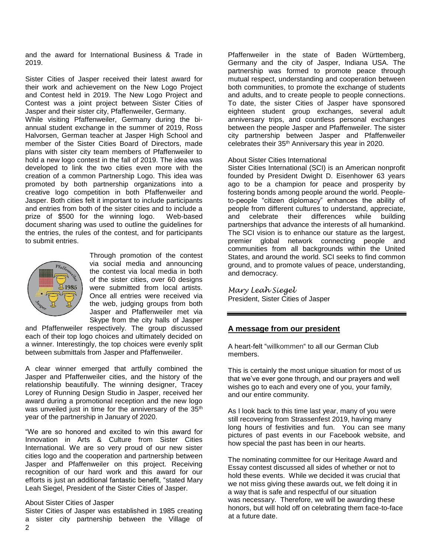and the award for International Business & Trade in 2019.

Sister Cities of Jasper received their latest award for their work and achievement on the New Logo Project and Contest held in 2019. The New Logo Project and Contest was a joint project between Sister Cities of Jasper and their sister city, Pfaffenweiler, Germany.

While visiting Pfaffenweiler, Germany during the biannual student exchange in the summer of 2019, Ross Halvorsen, German teacher at Jasper High School and member of the Sister Cities Board of Directors, made plans with sister city team members of Pfaffenweiler to hold a new logo contest in the fall of 2019. The idea was developed to link the two cities even more with the creation of a common Partnership Logo. This idea was promoted by both partnership organizations into a creative logo competition in both Pfaffenweiler and Jasper. Both cities felt it important to include participants and entries from both of the sister cities and to include a prize of \$500 for the winning logo. Web-based document sharing was used to outline the guidelines for the entries, the rules of the contest, and for participants to submit entries.



Through promotion of the contest via social media and announcing the contest via local media in both of the sister cities, over 60 designs were submitted from local artists. Once all entries were received via the web, judging groups from both Jasper and Pfaffenweiler met via Skype from the city halls of Jasper

and Pfaffenweiler respectively. The group discussed each of their top logo choices and ultimately decided on a winner. Interestingly, the top choices were evenly split between submittals from Jasper and Pfaffenweiler.

A clear winner emerged that artfully combined the Jasper and Pfaffenweiler cities, and the history of the relationship beautifully. The winning designer, Tracey Lorey of Running Design Studio in Jasper, received her award during a promotional reception and the new logo was unveiled just in time for the anniversary of the 35<sup>th</sup> year of the partnership in January of 2020.

"We are so honored and excited to win this award for Innovation in Arts & Culture from Sister Cities International. We are so very proud of our new sister cities logo and the cooperation and partnership between Jasper and Pfaffenweiler on this project. Receiving recognition of our hard work and this award for our efforts is just an additional fantastic benefit, "stated Mary Leah Siegel, President of the Sister Cities of Jasper.

#### About Sister Cities of Jasper

Sister Cities of Jasper was established in 1985 creating a sister city partnership between the Village of Pfaffenweiler in the state of Baden Württemberg, Germany and the city of Jasper, Indiana USA. The partnership was formed to promote peace through mutual respect, understanding and cooperation between both communities, to promote the exchange of students and adults, and to create people to people connections. To date, the sister Cities of Jasper have sponsored eighteen student group exchanges, several adult anniversary trips, and countless personal exchanges between the people Jasper and Pfaffenweiler. The sister city partnership between Jasper and Pfaffenweiler celebrates their 35th Anniversary this year in 2020.

#### About Sister Cities International

Sister Cities International (SCI) is an American nonprofit founded by President Dwight D. Eisenhower 63 years ago to be a champion for peace and prosperity by fostering bonds among people around the world. Peopleto-people "citizen diplomacy" enhances the ability of people from different cultures to understand, appreciate, and celebrate their differences while building partnerships that advance the interests of all humankind. The SCI vision is to enhance our stature as the largest, premier global network connecting people and communities from all backgrounds within the United States, and around the world. SCI seeks to find common ground, and to promote values of peace, understanding, and democracy.

*Mary Leah Siegel* President, Sister Cities of Jasper

#### **A message from our president**

A heart-felt "willkommen" to all our German Club members.

This is certainly the most unique situation for most of us that we've ever gone through, and our prayers and well wishes go to each and every one of you, your family, and our entire community.

As I look back to this time last year, many of you were still recovering from Strassenfest 2019, having many long hours of festivities and fun. You can see many pictures of past events in our Facebook website, and how special the past has been in our hearts.

The nominating committee for our Heritage Award and Essay contest discussed all sides of whether or not to hold these events. While we decided it was crucial that we not miss giving these awards out, we felt doing it in a way that is safe and respectful of our situation was necessary. Therefore, we will be awarding these honors, but will hold off on celebrating them face-to-face at a future date.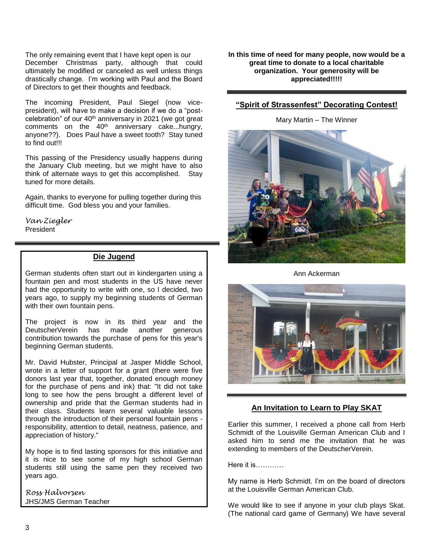The only remaining event that I have kept open is our December Christmas party, although that could ultimately be modified or canceled as well unless things drastically change. I'm working with Paul and the Board of Directors to get their thoughts and feedback.

The incoming President, Paul Siegel (now vicepresident), will have to make a decision if we do a "postcelebration" of our 40<sup>th</sup> anniversary in 2021 (we got great comments on the 40th anniversary cake...hungry, anyone??). Does Paul have a sweet tooth? Stay tuned to find out!!!

This passing of the Presidency usually happens during the January Club meeting, but we might have to also think of alternate ways to get this accomplished. Stay tuned for more details.

Again, thanks to everyone for pulling together during this difficult time. God bless you and your families.

*Van Ziegler* **President** 

## **Die Jugend**

German students often start out in kindergarten using a fountain pen and most students in the US have never had the opportunity to write with one, so I decided, two years ago, to supply my beginning students of German with their own fountain pens.

The project is now in its third year and the DeutscherVerein has made another generous contribution towards the purchase of pens for this year's beginning German students.

Mr. David Hubster, Principal at Jasper Middle School, wrote in a letter of support for a grant (there were five donors last year that, together, donated enough money for the purchase of pens and ink) that: "It did not take long to see how the pens brought a different level of ownership and pride that the German students had in their class. Students learn several valuable lessons through the introduction of their personal fountain pens responsibility, attention to detail, neatness, patience, and appreciation of history."

My hope is to find lasting sponsors for this initiative and it is nice to see some of my high school German students still using the same pen they received two years ago.

*Ross Halvorsen* JHS/JMS German Teacher **In this time of need for many people, now would be a great time to donate to a local charitable organization. Your generosity will be appreciated!!!!!**

## **"Spirit of Strassenfest" Decorating Contest!**

Mary Martin – The Winner



Ann Ackerman



# **An Invitation to Learn to Play SKAT**

Earlier this summer, I received a phone call from Herb Schmidt of the Louisville German American Club and I asked him to send me the invitation that he was extending to members of the DeutscherVerein.

Here it is…………

My name is Herb Schmidt. I'm on the board of directors at the Louisville German American Club.

We would like to see if anyone in your club plays Skat. (The national card game of Germany) We have several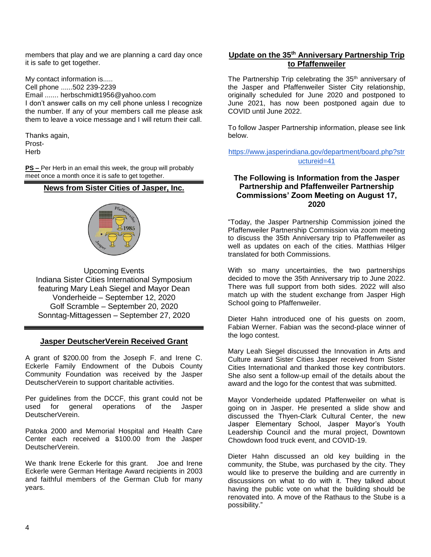members that play and we are planning a card day once it is safe to get together.

My contact information is..... Cell phone ......502 239-2239 Email ....... herbschmidt1956@yahoo.com I don't answer calls on my cell phone unless I recognize the number. If any of your members call me please ask them to leave a voice message and I will return their call.

Thanks again, Prost-

Herb

**PS –** Per Herb in an email this week, the group will probably meet once a month once it is safe to get together.

# **News from Sister Cities of Jasper, Inc.**



Upcoming Events Indiana Sister Cities International Symposium featuring Mary Leah Siegel and Mayor Dean Vonderheide – September 12, 2020 Golf Scramble – September 20, 2020 Sonntag-Mittagessen – September 27, 2020

### **Jasper DeutscherVerein Received Grant**

A grant of \$200.00 from the Joseph F. and Irene C. Eckerle Family Endowment of the Dubois County Community Foundation was received by the Jasper DeutscherVerein to support charitable activities.

Per guidelines from the DCCF, this grant could not be used for general operations of the Jasper DeutscherVerein.

Patoka 2000 and Memorial Hospital and Health Care Center each received a \$100.00 from the Jasper DeutscherVerein.

We thank Irene Eckerle for this grant. Joe and Irene Eckerle were German Heritage Award recipients in 2003 and faithful members of the German Club for many years.

# **Update on the 35th Anniversary Partnership Trip to Pfaffenweiler**

The Partnership Trip celebrating the 35<sup>th</sup> anniversary of the Jasper and Pfaffenweiler Sister City relationship, originally scheduled for June 2020 and postponed to June 2021, has now been postponed again due to COVID until June 2022.

To follow Jasper Partnership information, please see link below.

[https://www.jasperindiana.gov/department/board.php?str](https://www.jasperindiana.gov/department/board.php?structureid=41) [uctureid=41](https://www.jasperindiana.gov/department/board.php?structureid=41)

## **The Following is Information from the Jasper Partnership and Pfaffenweiler Partnership Commissions' Zoom Meeting on August 17, 2020**

"Today, the Jasper Partnership Commission joined the Pfaffenweiler Partnership Commission via zoom meeting to discuss the 35th Anniversary trip to Pfaffenweiler as well as updates on each of the cities. Matthias Hilger translated for both Commissions.

With so many uncertainties, the two partnerships decided to move the 35th Anniversary trip to June 2022. There was full support from both sides. 2022 will also match up with the student exchange from Jasper High School going to Pfaffenweiler.

Dieter Hahn introduced one of his guests on zoom, Fabian Werner. Fabian was the second-place winner of the logo contest.

Mary Leah Siegel discussed the Innovation in Arts and Culture award Sister Cities Jasper received from Sister Cities International and thanked those key contributors. She also sent a follow-up email of the details about the award and the logo for the contest that was submitted.

Mayor Vonderheide updated Pfaffenweiler on what is going on in Jasper. He presented a slide show and discussed the Thyen-Clark Cultural Center, the new Jasper Elementary School, Jasper Mayor's Youth Leadership Council and the mural project, Downtown Chowdown food truck event, and COVID-19.

Dieter Hahn discussed an old key building in the community, the Stube, was purchased by the city. They would like to preserve the building and are currently in discussions on what to do with it. They talked about having the public vote on what the building should be renovated into. A move of the Rathaus to the Stube is a possibility."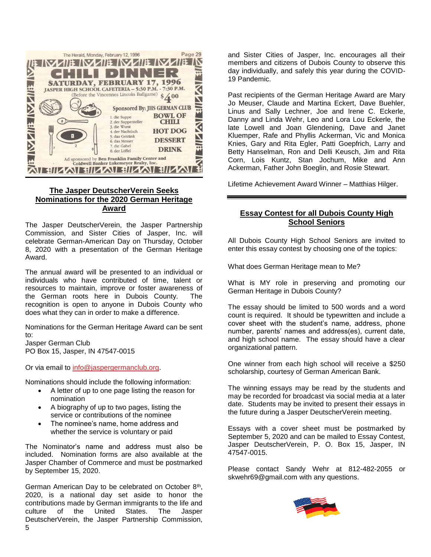

# **The Jasper DeutscherVerein Seeks Nominations for the 2020 German Heritage Award**

The Jasper DeutscherVerein, the Jasper Partnership Commission, and Sister Cities of Jasper, Inc. will celebrate German-American Day on Thursday, October 8, 2020 with a presentation of the German Heritage Award.

The annual award will be presented to an individual or individuals who have contributed of time, talent or resources to maintain, improve or foster awareness of the German roots here in Dubois County. The recognition is open to anyone in Dubois County who does what they can in order to make a difference.

Nominations for the German Heritage Award can be sent to:

Jasper German Club PO Box 15, Jasper, IN 47547-0015

Or via email to [info@jaspergermanclub.org.](mailto:info@jaspergermanclub.org)

Nominations should include the following information:

- A letter of up to one page listing the reason for nomination
- A biography of up to two pages, listing the service or contributions of the nominee
- The nominee's name, home address and whether the service is voluntary or paid

The Nominator's name and address must also be included. Nomination forms are also available at the Jasper Chamber of Commerce and must be postmarked by September 15, 2020.

German American Day to be celebrated on October 8<sup>th</sup>, 2020, is a national day set aside to honor the contributions made by German immigrants to the life and culture of the United States. The Jasper DeutscherVerein, the Jasper Partnership Commission,

and Sister Cities of Jasper, Inc. encourages all their members and citizens of Dubois County to observe this day individually, and safely this year during the COVID-19 Pandemic.

Past recipients of the German Heritage Award are Mary Jo Meuser, Claude and Martina Eckert, Dave Buehler, Linus and Sally Lechner, Joe and Irene C. Eckerle, Danny and Linda Wehr, Leo and Lora Lou Eckerle, the late Lowell and Joan Glendening, Dave and Janet Kluemper, Rafe and Phyllis Ackerman, Vic and Monica Knies, Gary and Rita Egler, Patti Goepfrich, Larry and Betty Hanselman, Ron and Delli Keusch, Jim and Rita Corn, Lois Kuntz, Stan Jochum, Mike and Ann Ackerman, Father John Boeglin, and Rosie Stewart.

Lifetime Achievement Award Winner – Matthias Hilger.

## **Essay Contest for all Dubois County High School Seniors**

All Dubois County High School Seniors are invited to enter this essay contest by choosing one of the topics:

What does German Heritage mean to Me?

What is MY role in preserving and promoting our German Heritage in Dubois County?

The essay should be limited to 500 words and a word count is required. It should be typewritten and include a cover sheet with the student's name, address, phone number, parents' names and address(es), current date, and high school name. The essay should have a clear organizational pattern.

One winner from each high school will receive a \$250 scholarship, courtesy of German American Bank.

The winning essays may be read by the students and may be recorded for broadcast via social media at a later date. Students may be invited to present their essays in the future during a Jasper DeutscherVerein meeting.

Essays with a cover sheet must be postmarked by September 5, 2020 and can be mailed to Essay Contest, Jasper DeutscherVerein, P. O. Box 15, Jasper, IN 47547-0015.

Please contact Sandy Wehr at 812-482-2055 or skwehr69@gmail.com with any questions.

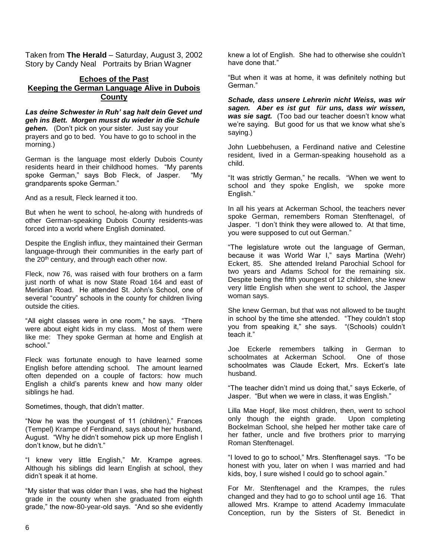Taken from **The Herald** – Saturday, August 3, 2002 Story by Candy Neal Portraits by Brian Wagner

## **Echoes of the Past Keeping the German Language Alive in Dubois County**

*Las deine Schwester in Ruh' sag halt dein Gevet und geh ins Bett. Morgen musst du wieder in die Schule gehen.* (Don't pick on your sister. Just say your prayers and go to bed. You have to go to school in the morning.)

German is the language most elderly Dubois County residents heard in their childhood homes. "My parents spoke German," says Bob Fleck, of Jasper. "My grandparents spoke German."

And as a result, Fleck learned it too.

But when he went to school, he-along with hundreds of other German-speaking Dubois County residents-was forced into a world where English dominated.

Despite the English influx, they maintained their German language-through their communities in the early part of the 20<sup>th</sup> century, and through each other now.

Fleck, now 76, was raised with four brothers on a farm just north of what is now State Road 164 and east of Meridian Road. He attended St. John's School, one of several "country" schools in the county for children living outside the cities.

"All eight classes were in one room," he says. "There were about eight kids in my class. Most of them were like me: They spoke German at home and English at school."

Fleck was fortunate enough to have learned some English before attending school. The amount learned often depended on a couple of factors: how much English a child's parents knew and how many older siblings he had.

Sometimes, though, that didn't matter.

"Now he was the youngest of 11 (children)," Frances (Tempel) Krampe of Ferdinand, says about her husband, August. "Why he didn't somehow pick up more English I don't know, but he didn't."

"I knew very little English," Mr. Krampe agrees. Although his siblings did learn English at school, they didn't speak it at home.

"My sister that was older than I was, she had the highest grade in the county when she graduated from eighth grade," the now-80-year-old says. "And so she evidently

knew a lot of English. She had to otherwise she couldn't have done that."

"But when it was at home, it was definitely nothing but German."

*Schade, dass unsere Lehrerin nicht Weiss, was wir sagen. Aber es ist gut für uns, dass wir wissen, was sie sagt.* (Too bad our teacher doesn't know what we're saying. But good for us that we know what she's saying.)

John Luebbehusen, a Ferdinand native and Celestine resident, lived in a German-speaking household as a child.

"It was strictly German," he recalls. "When we went to school and they spoke English, we spoke more English."

In all his years at Ackerman School, the teachers never spoke German, remembers Roman Stenftenagel, of Jasper. "I don't think they were allowed to. At that time, you were supposed to cut out German."

"The legislature wrote out the language of German, because it was World War I," says Martina (Wehr) Eckert, 85. She attended Ireland Parochial School for two years and Adams School for the remaining six. Despite being the fifth youngest of 12 children, she knew very little English when she went to school, the Jasper woman says.

She knew German, but that was not allowed to be taught in school by the time she attended. "They couldn't stop you from speaking it," she says. "(Schools) couldn't teach it."

Joe Eckerle remembers talking in German to schoolmates at Ackerman School. One of those schoolmates was Claude Eckert, Mrs. Eckert's late husband.

"The teacher didn't mind us doing that," says Eckerle, of Jasper. "But when we were in class, it was English."

Lilla Mae Hopf, like most children, then, went to school only though the eighth grade. Upon completing Bockelman School, she helped her mother take care of her father, uncle and five brothers prior to marrying Roman Stenftenagel.

"I loved to go to school," Mrs. Stenftenagel says. "To be honest with you, later on when I was married and had kids, boy, I sure wished I could go to school again."

For Mr. Stenftenagel and the Krampes, the rules changed and they had to go to school until age 16. That allowed Mrs. Krampe to attend Academy Immaculate Conception, run by the Sisters of St. Benedict in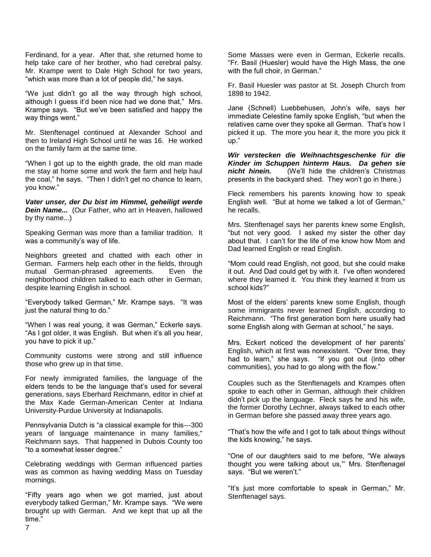Ferdinand, for a year. After that, she returned home to help take care of her brother, who had cerebral palsy. Mr. Krampe went to Dale High School for two vears, "which was more than a lot of people did," he says.

"We just didn't go all the way through high school, although I guess it'd been nice had we done that," Mrs. Krampe says. "But we've been satisfied and happy the way things went."

Mr. Stenftenagel continued at Alexander School and then to Ireland High School until he was 16. He worked on the family farm at the same time.

"When I got up to the eighth grade, the old man made me stay at home some and work the farm and help haul the coal," he says. "Then I didn't get no chance to learn, you know."

*Vater unser, der Du bist im Himmel, geheiligt werde Dein Name...* (Our Father, who art in Heaven, hallowed by thy name...)

Speaking German was more than a familiar tradition. It was a community's way of life.

Neighbors greeted and chatted with each other in German. Farmers help each other in the fields, through mutual German-phrased agreements. Even the neighborhood children talked to each other in German, despite learning English in school.

"Everybody talked German," Mr. Krampe says. "It was just the natural thing to do."

"When I was real young, it was German," Eckerle says. "As I got older, it was English. But when it's all you hear, you have to pick it up."

Community customs were strong and still influence those who grew up in that time.

For newly immigrated families, the language of the elders tends to be the language that's used for several generations, says Eberhard Reichmann, editor in chief at the Max Kade German-American Center at Indiana University-Purdue University at Indianapolis.

Pennsylvania Dutch is "a classical example for this---300 years of language maintenance in many families," Reichmann says. That happened in Dubois County too "to a somewhat lesser degree."

Celebrating weddings with German influenced parties was as common as having wedding Mass on Tuesday mornings.

"Fifty years ago when we got married, just about everybody talked German," Mr. Krampe says. "We were brought up with German. And we kept that up all the time."

Some Masses were even in German, Eckerle recalls. "Fr. Basil (Huesler) would have the High Mass, the one with the full choir, in German."

Fr. Basil Huesler was pastor at St. Joseph Church from 1898 to 1942.

Jane (Schnell) Luebbehusen, John's wife, says her immediate Celestine family spoke English, "but when the relatives came over they spoke all German. That's how I picked it up. The more you hear it, the more you pick it up."

*Wir verstecken die Weihnachtsgeschenke für die Kinder im Schuppen hinterm Haus. Da gehen sie nicht hinein.* (We'll hide the children's Christmas presents in the backyard shed. They won't go in there.)

Fleck remembers his parents knowing how to speak English well. "But at home we talked a lot of German," he recalls.

Mrs. Stenftenagel says her parents knew some English, "but not very good. I asked my sister the other day about that. I can't for the life of me know how Mom and Dad learned English or read English.

"Mom could read English, not good, but she could make it out. And Dad could get by with it. I've often wondered where they learned it. You think they learned it from us school kids?"

Most of the elders' parents knew some English, though some immigrants never learned English, according to Reichmann. "The first generation born here usually had some English along with German at school," he says.

Mrs. Eckert noticed the development of her parents' English, which at first was nonexistent. "Over time, they had to learn," she says. "If you got out (into other communities), you had to go along with the flow."

Couples such as the Stenftenagels and Krampes often spoke to each other in German, although their children didn't pick up the language. Fleck says he and his wife, the former Dorothy Lechner, always talked to each other in German before she passed away three years ago.

"That's how the wife and I got to talk about things without the kids knowing," he says.

"One of our daughters said to me before, "We always thought you were talking about us,"' Mrs. Stenftenagel says. "But we weren't."

"It's just more comfortable to speak in German," Mr. Stenftenagel says.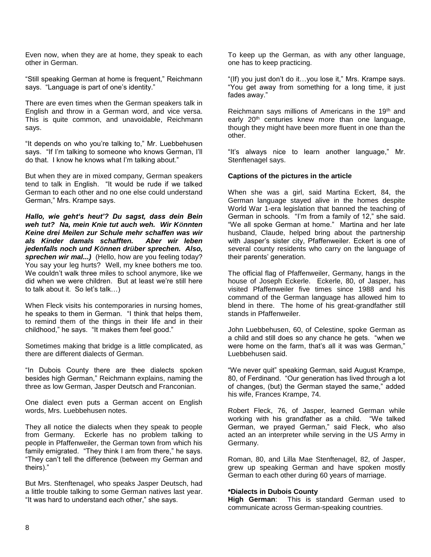Even now, when they are at home, they speak to each other in German.

"Still speaking German at home is frequent," Reichmann says. "Language is part of one's identity."

There are even times when the German speakers talk in English and throw in a German word, and vice versa. This is quite common, and unavoidable, Reichmann says.

"It depends on who you're talking to," Mr. Luebbehusen says. "If I'm talking to someone who knows German, I'll do that. I know he knows what I'm talking about."

But when they are in mixed company, German speakers tend to talk in English. "It would be rude if we talked German to each other and no one else could understand German," Mrs. Krampe says.

*Hallo, wie geht's heut'? Du sagst, dass dein Bein weh tut? Na, mein Knie tut auch weh. Wir Könnten Keine drei Meilen zur Schule mehr schaffen was wir als Kinder damals schafften. Aber wir leben jedenfalls noch und Können drüber sprechen. Also,*  sprechen wir mal...) (Hello, how are you feeling today? You say your leg hurts? Well, my knee bothers me too. We couldn't walk three miles to school anymore, like we did when we were children. But at least we're still here to talk about it. So let's talk…)

When Fleck visits his contemporaries in nursing homes, he speaks to them in German. "I think that helps them, to remind them of the things in their life and in their childhood," he says. "It makes them feel good."

Sometimes making that bridge is a little complicated, as there are different dialects of German.

"In Dubois County there are thee dialects spoken besides high German," Reichmann explains, naming the three as low German, Jasper Deutsch and Franconian.

One dialect even puts a German accent on English words, Mrs. Luebbehusen notes.

They all notice the dialects when they speak to people from Germany. Eckerle has no problem talking to people in Pfaffenweiler, the German town from which his family emigrated. "They think I am from there." he says. "They can't tell the difference (between my German and theirs)."

But Mrs. Stenftenagel, who speaks Jasper Deutsch, had a little trouble talking to some German natives last year. "It was hard to understand each other," she says.

To keep up the German, as with any other language, one has to keep practicing.

"(If) you just don't do it…you lose it," Mrs. Krampe says. "You get away from something for a long time, it just fades away."

Reichmann says millions of Americans in the 19th and early 20<sup>th</sup> centuries knew more than one language, though they might have been more fluent in one than the other.

"It's always nice to learn another language," Mr. Stenftenagel says.

#### **Captions of the pictures in the article**

When she was a girl, said Martina Eckert, 84, the German language stayed alive in the homes despite World War 1-era legislation that banned the teaching of German in schools. "I'm from a family of 12," she said. "We all spoke German at home." Martina and her late husband, Claude, helped bring about the partnership with Jasper's sister city, Pfaffenweiler. Eckert is one of several county residents who carry on the language of their parents' generation.

The official flag of Pfaffenweiler, Germany, hangs in the house of Joseph Eckerle. Eckerle, 80, of Jasper, has visited Pfaffenweiler five times since 1988 and his command of the German language has allowed him to blend in there. The home of his great-grandfather still stands in Pfaffenweiler.

John Luebbehusen, 60, of Celestine, spoke German as a child and still does so any chance he gets. "when we were home on the farm, that's all it was was German," Luebbehusen said.

"We never quit" speaking German, said August Krampe, 80, of Ferdinand. "Our generation has lived through a lot of changes, (but) the German stayed the same," added his wife, Frances Krampe, 74.

Robert Fleck, 76, of Jasper, learned German while working with his grandfather as a child. "We talked German, we prayed German," said Fleck, who also acted an an interpreter while serving in the US Army in Germany.

Roman, 80, and Lilla Mae Stenftenagel, 82, of Jasper, grew up speaking German and have spoken mostly German to each other during 60 years of marriage.

#### **\*Dialects in Dubois County**

**High German**: This is standard German used to communicate across German-speaking countries.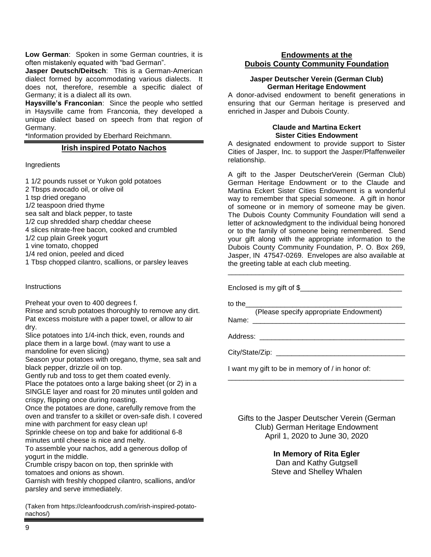**Low German**: Spoken in some German countries, it is often mistakenly equated with "bad German".

**Jasper Deutsch/Deitsch**: This is a German-American dialect formed by accommodating various dialects. It does not, therefore, resemble a specific dialect of Germany; it is a dialect all its own.

**Haysville's Franconian**: Since the people who settled in Haysville came from Franconia, they developed a unique dialect based on speech from that region of Germany.

\*Information provided by Eberhard Reichmann.

### **Irish inspired Potato Nachos**

Ingredients

1 1/2 pounds russet or Yukon gold potatoes

- 2 Tbsps avocado oil, or olive oil
- 1 tsp dried oregano
- 1/2 teaspoon dried thyme
- sea salt and black pepper, to taste
- 1/2 cup shredded sharp cheddar cheese
- 4 slices nitrate-free bacon, cooked and crumbled
- 1/2 cup plain Greek yogurt
- 1 vine tomato, chopped
- 1/4 red onion, peeled and diced
- 1 Tbsp chopped cilantro, scallions, or parsley leaves

### **Instructions**

Preheat your oven to 400 degrees f.

Rinse and scrub potatoes thoroughly to remove any dirt. Pat excess moisture with a paper towel, or allow to air dry.

Slice potatoes into 1/4-inch thick, even, rounds and place them in a large bowl. (may want to use a mandoline for even slicing)

Season your potatoes with oregano, thyme, sea salt and black pepper, drizzle oil on top.

Gently rub and toss to get them coated evenly.

Place the potatoes onto a large baking sheet (or 2) in a SINGLE layer and roast for 20 minutes until golden and crispy, flipping once during roasting.

Once the potatoes are done, carefully remove from the oven and transfer to a skillet or oven-safe dish. I covered mine with parchment for easy clean up!

Sprinkle cheese on top and bake for additional 6-8 minutes until cheese is nice and melty.

To assemble your nachos, add a generous dollop of yogurt in the middle.

Crumble crispy bacon on top, then sprinkle with tomatoes and onions as shown.

Garnish with freshly chopped cilantro, scallions, and/or parsley and serve immediately.

(Taken from https://cleanfoodcrush.com/irish-inspired-potatonachos/)

## **Endowments at the Dubois County Community Foundation**

#### **Jasper Deutscher Verein (German Club) German Heritage Endowment**

A donor-advised endowment to benefit generations in ensuring that our German heritage is preserved and enriched in Jasper and Dubois County.

#### **Claude and Martina Eckert Sister Cities Endowment**

A designated endowment to provide support to Sister Cities of Jasper, Inc. to support the Jasper/Pfaffenweiler relationship.

A gift to the Jasper DeutscherVerein (German Club) German Heritage Endowment or to the Claude and Martina Eckert Sister Cities Endowment is a wonderful way to remember that special someone. A gift in honor of someone or in memory of someone may be given. The Dubois County Community Foundation will send a letter of acknowledgment to the individual being honored or to the family of someone being remembered. Send your gift along with the appropriate information to the Dubois County Community Foundation, P. O. Box 269, Jasper, IN 47547-0269. Envelopes are also available at the greeting table at each club meeting.

\_\_\_\_\_\_\_\_\_\_\_\_\_\_\_\_\_\_\_\_\_\_\_\_\_\_\_\_\_\_\_\_\_\_\_\_\_\_\_\_\_\_\_\_\_

Enclosed is my gift of \$

to the\_\_\_\_\_\_\_\_\_\_\_\_\_\_\_\_\_\_\_\_\_\_\_\_\_\_\_\_\_\_\_\_\_\_\_\_\_\_\_\_

 (Please specify appropriate Endowment) Name:

Address: \_\_\_\_\_\_\_\_\_\_\_\_\_\_\_\_\_\_\_\_\_\_\_\_\_\_\_\_\_\_\_\_\_\_\_\_\_

City/State/Zip: \_\_\_\_\_\_\_\_\_\_\_\_\_\_\_\_\_\_\_\_\_\_\_\_\_\_\_\_\_\_\_\_\_

I want my gift to be in memory of / in honor of:

Gifts to the Jasper Deutscher Verein (German Club) German Heritage Endowment April 1, 2020 to June 30, 2020

\_\_\_\_\_\_\_\_\_\_\_\_\_\_\_\_\_\_\_\_\_\_\_\_\_\_\_\_\_\_\_\_\_\_\_\_\_\_\_\_\_\_\_\_\_

# **In Memory of Rita Egler**

Dan and Kathy Gutgsell Steve and Shelley Whalen